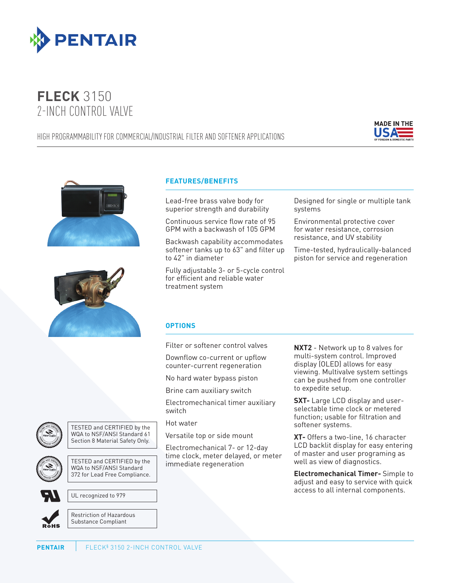

## **FLECK** 3150 2-INCH CONTROL VALVE

## HIGH PROGRAMMABILITY FOR COMMERCIAL/INDUSTRIAL FILTER AND SOFTENER APPLICATIONS







## **FEATURES/BENEFITS**

Lead-free brass valve body for superior strength and durability

Continuous service flow rate of 95 GPM with a backwash of 105 GPM

Backwash capability accommodates softener tanks up to 63" and filter up to 42" in diameter

Fully adjustable 3- or 5-cycle control for efficient and reliable water treatment system

Designed for single or multiple tank systems

Environmental protective cover for water resistance, corrosion resistance, and UV stability

Time-tested, hydraulically-balanced piston for service and regeneration

## **OPTIONS**

Filter or softener control valves

Downflow co-current or upflow

counter-current regeneration No hard water bypass piston

Brine cam auxiliary switch

Electromechanical timer auxiliary switch

Hot water

Versatile top or side mount

Electromechanical 7- or 12-day time clock, meter delayed, or meter immediate regeneration

**NXT2** - Network up to 8 valves for multi-system control. Improved display (OLED) allows for easy viewing. Multivalve system settings can be pushed from one controller to expedite setup.

**SXT-** Large LCD display and userselectable time clock or metered function; usable for filtration and softener systems.

**XT-** Offers a two-line, 16 character LCD backlit display for easy entering of master and user programing as well as view of diagnostics.

**Electromechanical Timer-** Simple to adjust and easy to service with quick access to all internal components.



TESTED and CERTIFIED by the WQA to NSF/ANSI Standard 61 Section 8 Material Safety Only.



TESTED and CERTIFIED by the WQA to NSF/ANSI Standard 372 for Lead Free Compliance.

UL recognized to 979



Restriction of Hazardous Substance Compliant